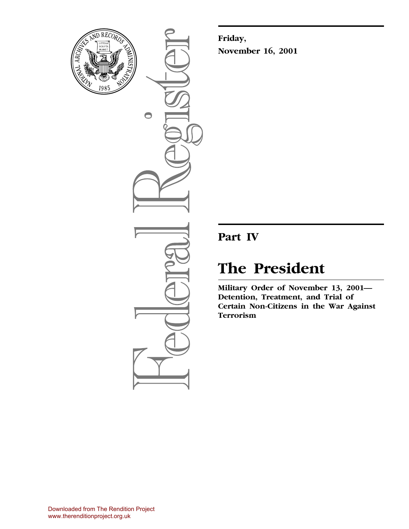

 $\bullet$ 

**Friday, November 16, 2001**

## **Part IV**

# **The President**

**Military Order of November 13, 2001— Detention, Treatment, and Trial of Certain Non-Citizens in the War Against Terrorism**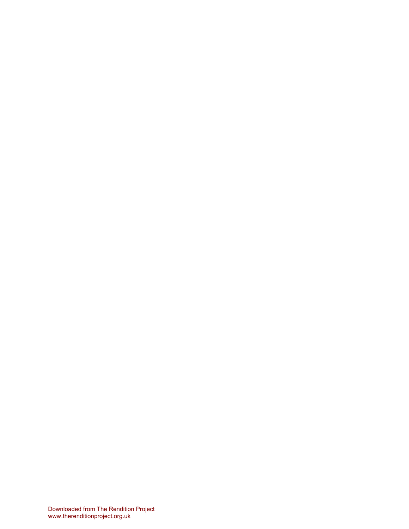Downloaded from The Rendition Project www.therenditionproject.org.uk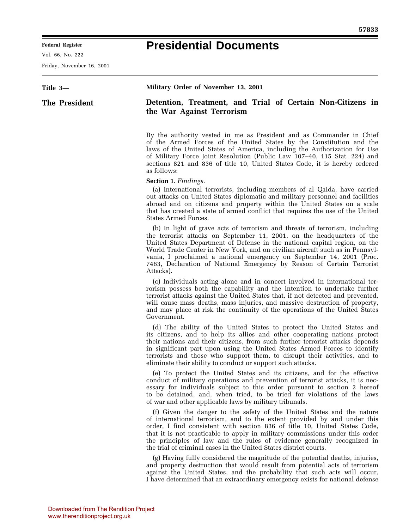### **Presidential Documents**

Vol. 66, No. 222

Friday, November 16, 2001

www.therenditionproject.org.uk

### **Title 3— The President Military Order of November 13, 2001 Detention, Treatment, and Trial of Certain Non-Citizens in the War Against Terrorism** By the authority vested in me as President and as Commander in Chief of the Armed Forces of the United States by the Constitution and the laws of the United States of America, including the Authorization for Use of Military Force Joint Resolution (Public Law 107–40, 115 Stat. 224) and sections 821 and 836 of title 10, United States Code, it is hereby ordered as follows: **Section 1.** *Findings.* (a) International terrorists, including members of al Qaida, have carried out attacks on United States diplomatic and military personnel and facilities abroad and on citizens and property within the United States on a scale that has created a state of armed conflict that requires the use of the United States Armed Forces. (b) In light of grave acts of terrorism and threats of terrorism, including the terrorist attacks on September 11, 2001, on the headquarters of the United States Department of Defense in the national capital region, on the World Trade Center in New York, and on civilian aircraft such as in Pennsylvania, I proclaimed a national emergency on September 14, 2001 (Proc. 7463, Declaration of National Emergency by Reason of Certain Terrorist Attacks). (c) Individuals acting alone and in concert involved in international terrorism possess both the capability and the intention to undertake further terrorist attacks against the United States that, if not detected and prevented, will cause mass deaths, mass injuries, and massive destruction of property, and may place at risk the continuity of the operations of the United States Government. (d) The ability of the United States to protect the United States and its citizens, and to help its allies and other cooperating nations protect their nations and their citizens, from such further terrorist attacks depends in significant part upon using the United States Armed Forces to identify terrorists and those who support them, to disrupt their activities, and to eliminate their ability to conduct or support such attacks. (e) To protect the United States and its citizens, and for the effective conduct of military operations and prevention of terrorist attacks, it is necessary for individuals subject to this order pursuant to section 2 hereof to be detained, and, when tried, to be tried for violations of the laws of war and other applicable laws by military tribunals. (f) Given the danger to the safety of the United States and the nature of international terrorism, and to the extent provided by and under this order, I find consistent with section 836 of title 10, United States Code, that it is not practicable to apply in military commissions under this order the principles of law and the rules of evidence generally recognized in the trial of criminal cases in the United States district courts. (g) Having fully considered the magnitude of the potential deaths, injuries, and property destruction that would result from potential acts of terrorism against the United States, and the probability that such acts will occur, I have determined that an extraordinary emergency exists for national defense Downloaded from The Rendition Project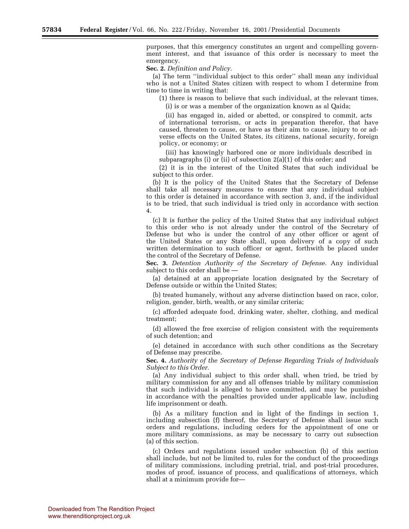purposes, that this emergency constitutes an urgent and compelling government interest, and that issuance of this order is necessary to meet the emergency.

**Sec. 2.** *Definition and Policy.*

(a) The term ''individual subject to this order'' shall mean any individual who is not a United States citizen with respect to whom I determine from time to time in writing that:

(1) there is reason to believe that such individual, at the relevant times, (i) is or was a member of the organization known as al Qaida;

(ii) has engaged in, aided or abetted, or conspired to commit, acts of international terrorism, or acts in preparation therefor, that have caused, threaten to cause, or have as their aim to cause, injury to or adverse effects on the United States, its citizens, national security, foreign policy, or economy; or

(iii) has knowingly harbored one or more individuals described in subparagraphs (i) or (ii) of subsection 2(a)(1) of this order; and

(2) it is in the interest of the United States that such individual be subject to this order.

(b) It is the policy of the United States that the Secretary of Defense shall take all necessary measures to ensure that any individual subject to this order is detained in accordance with section 3, and, if the individual is to be tried, that such individual is tried only in accordance with section 4.

(c) It is further the policy of the United States that any individual subject to this order who is not already under the control of the Secretary of Defense but who is under the control of any other officer or agent of the United States or any State shall, upon delivery of a copy of such written determination to such officer or agent, forthwith be placed under the control of the Secretary of Defense.

**Sec. 3.** *Detention Authority of the Secretary of Defense.* Any individual subject to this order shall be —

(a) detained at an appropriate location designated by the Secretary of Defense outside or within the United States;

(b) treated humanely, without any adverse distinction based on race, color, religion, gender, birth, wealth, or any similar criteria;

(c) afforded adequate food, drinking water, shelter, clothing, and medical treatment;

(d) allowed the free exercise of religion consistent with the requirements of such detention; and

(e) detained in accordance with such other conditions as the Secretary of Defense may prescribe.

**Sec. 4.** *Authority of the Secretary of Defense Regarding Trials of Individuals Subject to this Order.*

(a) Any individual subject to this order shall, when tried, be tried by military commission for any and all offenses triable by military commission that such individual is alleged to have committed, and may be punished in accordance with the penalties provided under applicable law, including life imprisonment or death.

(b) As a military function and in light of the findings in section 1, including subsection (f) thereof, the Secretary of Defense shall issue such orders and regulations, including orders for the appointment of one or more military commissions, as may be necessary to carry out subsection (a) of this section.

(c) Orders and regulations issued under subsection (b) of this section shall include, but not be limited to, rules for the conduct of the proceedings of military commissions, including pretrial, trial, and post-trial procedures, modes of proof, issuance of process, and qualifications of attorneys, which shall at a minimum provide for—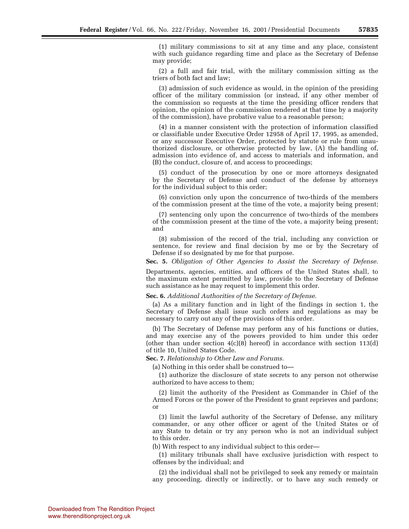(1) military commissions to sit at any time and any place, consistent with such guidance regarding time and place as the Secretary of Defense may provide;

(2) a full and fair trial, with the military commission sitting as the triers of both fact and law;

(3) admission of such evidence as would, in the opinion of the presiding officer of the military commission (or instead, if any other member of the commission so requests at the time the presiding officer renders that opinion, the opinion of the commission rendered at that time by a majority of the commission), have probative value to a reasonable person;

(4) in a manner consistent with the protection of information classified or classifiable under Executive Order 12958 of April 17, 1995, as amended, or any successor Executive Order, protected by statute or rule from unauthorized disclosure, or otherwise protected by law, (A) the handling of, admission into evidence of, and access to materials and information, and (B) the conduct, closure of, and access to proceedings;

(5) conduct of the prosecution by one or more attorneys designated by the Secretary of Defense and conduct of the defense by attorneys for the individual subject to this order;

(6) conviction only upon the concurrence of two-thirds of the members of the commission present at the time of the vote, a majority being present;

(7) sentencing only upon the concurrence of two-thirds of the members of the commission present at the time of the vote, a majority being present; and

(8) submission of the record of the trial, including any conviction or sentence, for review and final decision by me or by the Secretary of Defense if so designated by me for that purpose.

**Sec. 5.** *Obligation of Other Agencies to Assist the Secretary of Defense.*

Departments, agencies, entities, and officers of the United States shall, to the maximum extent permitted by law, provide to the Secretary of Defense such assistance as he may request to implement this order.

#### **Sec. 6.** *Additional Authorities of the Secretary of Defense.*

(a) As a military function and in light of the findings in section 1, the Secretary of Defense shall issue such orders and regulations as may be necessary to carry out any of the provisions of this order.

(b) The Secretary of Defense may perform any of his functions or duties, and may exercise any of the powers provided to him under this order (other than under section  $4(c)(8)$  hereof) in accordance with section 113(d) of title 10, United States Code.

**Sec. 7.** *Relationship to Other Law and Forums.*

(a) Nothing in this order shall be construed to—

(1) authorize the disclosure of state secrets to any person not otherwise authorized to have access to them;

(2) limit the authority of the President as Commander in Chief of the Armed Forces or the power of the President to grant reprieves and pardons; or

(3) limit the lawful authority of the Secretary of Defense, any military commander, or any other officer or agent of the United States or of any State to detain or try any person who is not an individual subject to this order.

(b) With respect to any individual subject to this order—

(1) military tribunals shall have exclusive jurisdiction with respect to offenses by the individual; and

(2) the individual shall not be privileged to seek any remedy or maintain any proceeding, directly or indirectly, or to have any such remedy or